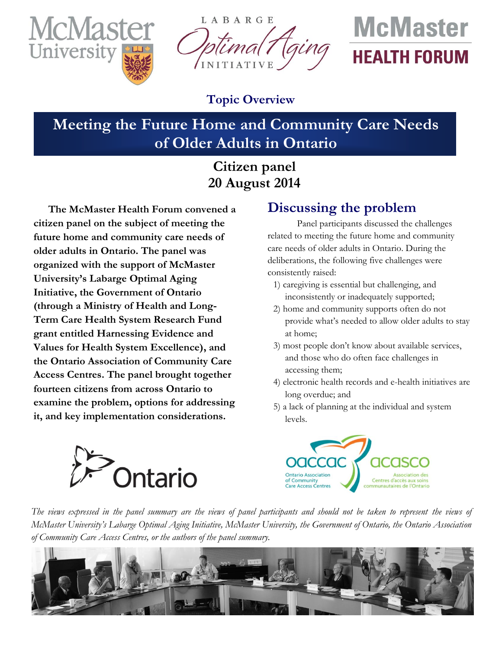

LABARGE INITIATIVE

# **McMaster HEALTH FORUM**

### **Topic Overview**

# **Meeting the Future Home and Community Care Needs of Older Adults in Ontario**

## **Citizen panel 20 August 2014**

**The McMaster Health Forum convened a citizen panel on the subject of meeting the future home and community care needs of older adults in Ontario. The panel was organized with the support of McMaster University's Labarge Optimal Aging Initiative, the Government of Ontario (through a Ministry of Health and Long-Term Care Health System Research Fund grant entitled Harnessing Evidence and Values for Health System Excellence), and the Ontario Association of Community Care Access Centres. The panel brought together fourteen citizens from across Ontario to examine the problem, options for addressing it, and key implementation considerations.**

# **Discussing the problem**

Panel participants discussed the challenges related to meeting the future home and community care needs of older adults in Ontario. During the deliberations, the following five challenges were consistently raised:

- 1) caregiving is essential but challenging, and inconsistently or inadequately supported;
- 2) home and community supports often do not provide what's needed to allow older adults to stay at home;
- 3) most people don't know about available services, and those who do often face challenges in accessing them;
- 4) electronic health records and e-health initiatives are long overdue; and
- 5) a lack of planning at the individual and system levels.





*The views expressed in the panel summary are the views of panel participants and should not be taken to represent the views of McMaster University's Labarge Optimal Aging Initiative, McMaster University, the Government of Ontario, the Ontario Association of Community Care Access Centres, or the authors of the panel summary.*